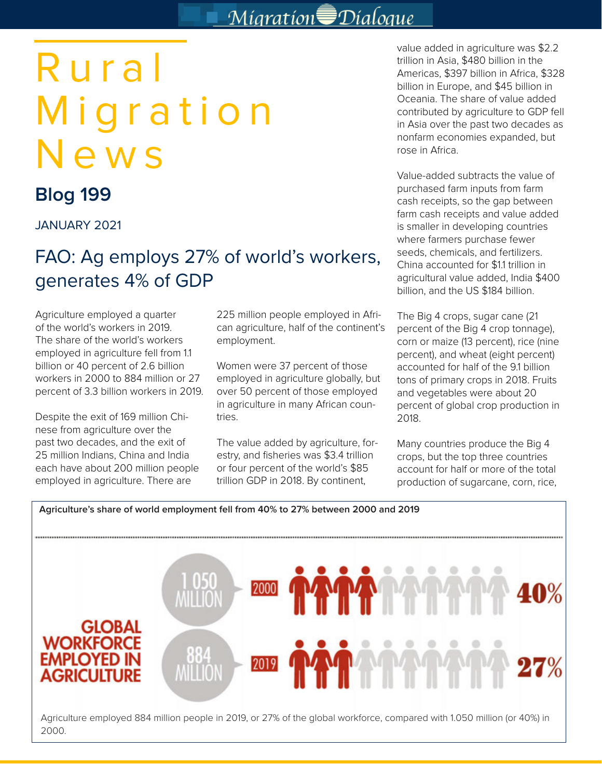# Migration<sup></sup> Dialoque

# Rural Migration News

## **Blog 199**

JANUARY 2021

### FAO: Ag employs 27% of world's workers, generates 4% of GDP

Agriculture employed a quarter of the world's workers in 2019. The share of the world's workers employed in agriculture fell from 1.1 billion or 40 percent of 2.6 billion workers in 2000 to 884 million or 27 percent of 3.3 billion workers in 2019.

Despite the exit of 169 million Chinese from agriculture over the past two decades, and the exit of 25 million Indians, China and India each have about 200 million people employed in agriculture. There are

225 million people employed in African agriculture, half of the continent's employment.

Women were 37 percent of those employed in agriculture globally, but over 50 percent of those employed in agriculture in many African countries.

The value added by agriculture, forestry, and fisheries was \$3.4 trillion or four percent of the world's \$85 trillion GDP in 2018. By continent,

value added in agriculture was \$2.2 trillion in Asia, \$480 billion in the Americas, \$397 billion in Africa, \$328 billion in Europe, and \$45 billion in Oceania. The share of value added contributed by agriculture to GDP fell in Asia over the past two decades as nonfarm economies expanded, but rose in Africa.

Value-added subtracts the value of purchased farm inputs from farm cash receipts, so the gap between farm cash receipts and value added is smaller in developing countries where farmers purchase fewer seeds, chemicals, and fertilizers. China accounted for \$1.1 trillion in agricultural value added, India \$400 billion, and the US \$184 billion.

The Big 4 crops, sugar cane (21 percent of the Big 4 crop tonnage), corn or maize (13 percent), rice (nine percent), and wheat (eight percent) accounted for half of the 9.1 billion tons of primary crops in 2018. Fruits and vegetables were about 20 percent of global crop production in 2018.

Many countries produce the Big 4 crops, but the top three countries account for half or more of the total production of sugarcane, corn, rice,

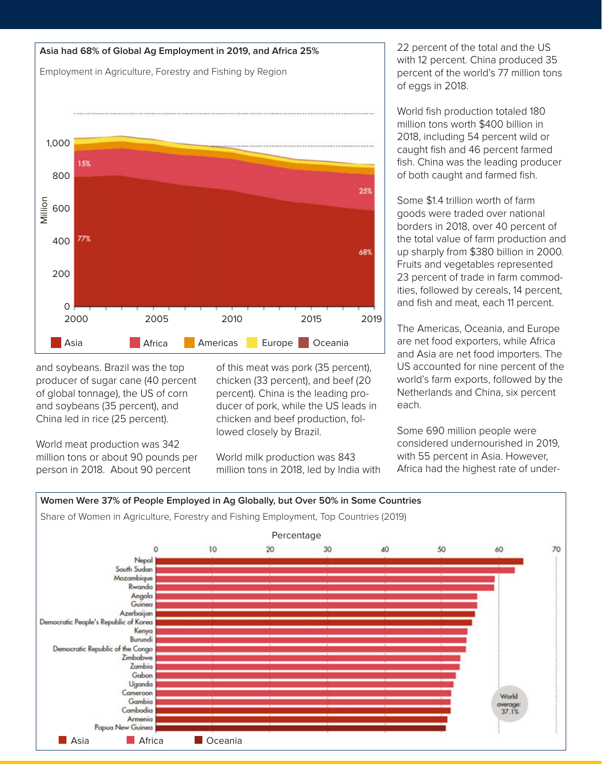

and soybeans. Brazil was the top producer of sugar cane (40 percent of global tonnage), the US of corn and soybeans (35 percent), and China led in rice (25 percent).

World meat production was 342 million tons or about 90 pounds per person in 2018. About 90 percent

of this meat was pork (35 percent), chicken (33 percent), and beef (20 percent). China is the leading producer of pork, while the US leads in chicken and beef production, followed closely by Brazil.

World milk production was 843 million tons in 2018, led by India with 22 percent of the total and the US with 12 percent. China produced 35 percent of the world's 77 million tons of eggs in 2018.

World fish production totaled 180 million tons worth \$400 billion in 2018, including 54 percent wild or caught fish and 46 percent farmed fish. China was the leading producer of both caught and farmed fish.

Some \$1.4 trillion worth of farm goods were traded over national borders in 2018, over 40 percent of the total value of farm production and up sharply from \$380 billion in 2000. Fruits and vegetables represented 23 percent of trade in farm commodities, followed by cereals, 14 percent, and fish and meat, each 11 percent.

The Americas, Oceania, and Europe are net food exporters, while Africa and Asia are net food importers. The US accounted for nine percent of the world's farm exports, followed by the Netherlands and China, six percent each.

Some 690 million people were considered undernourished in 2019, with 55 percent in Asia. However, Africa had the highest rate of under-

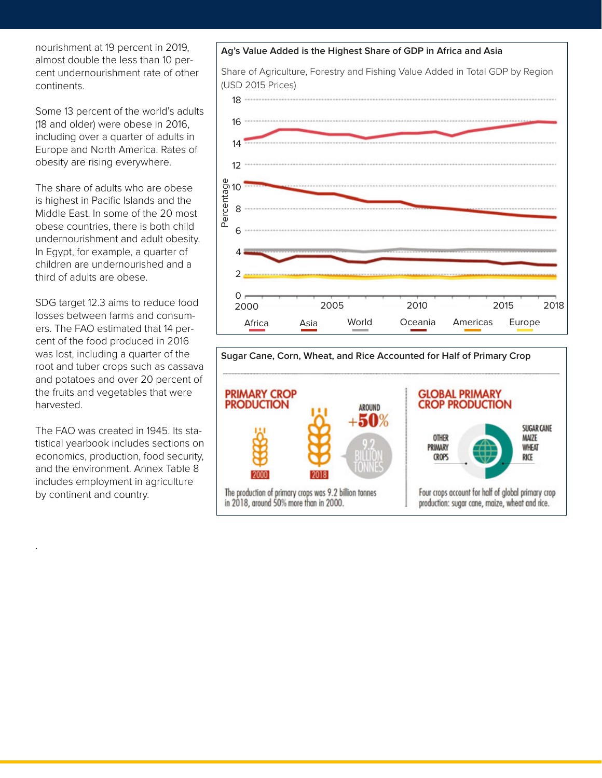nourishment at 19 percent in 2019, almost double the less than 10 percent undernourishment rate of other continents.

Some 13 percent of the world's adults (18 and older) were obese in 2016, including over a quarter of adults in Europe and North America. Rates of obesity are rising everywhere.

The share of adults who are obese is highest in Pacific Islands and the Middle East. In some of the 20 most obese countries, there is both child undernourishment and adult obesity. In Egypt, for example, a quarter of children are undernourished and a third of adults are obese.

SDG target 12.3 aims to reduce food losses between farms and consumers. The FAO estimated that 14 percent of the food produced in 2016 was lost, including a quarter of the root and tuber crops such as cassava and potatoes and over 20 percent of the fruits and vegetables that were harvested.

The FAO was created in 1945. Its statistical yearbook includes sections on economics, production, food security, and the environment. Annex Table 8 includes employment in agriculture by continent and country.

.

# **Ag's Value Added is the Highest Share of GDP in Africa and Asia**

Share of Agriculture, Forestry and Fishing Value Added in Total GDP by Region (USD 2015 Prices)



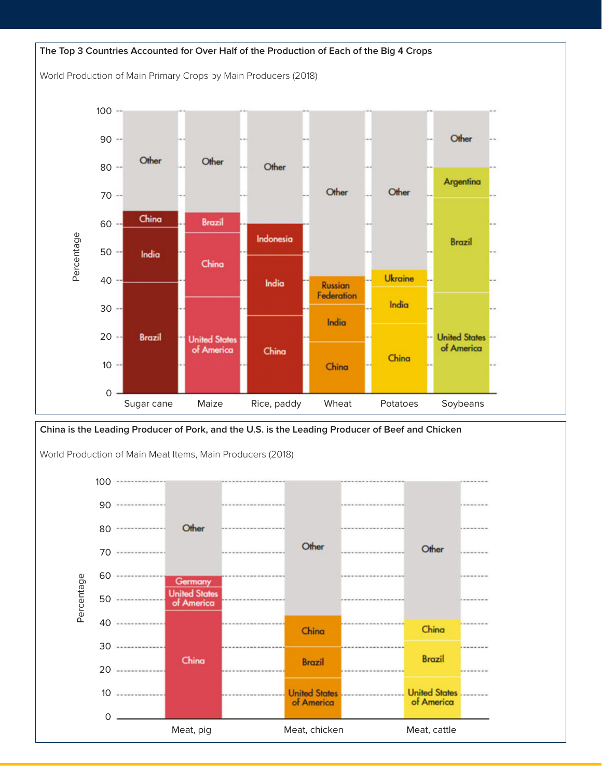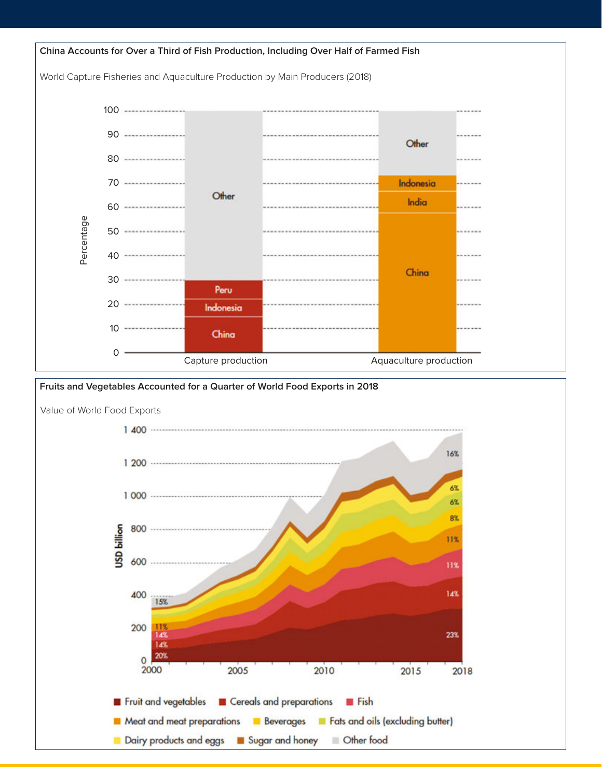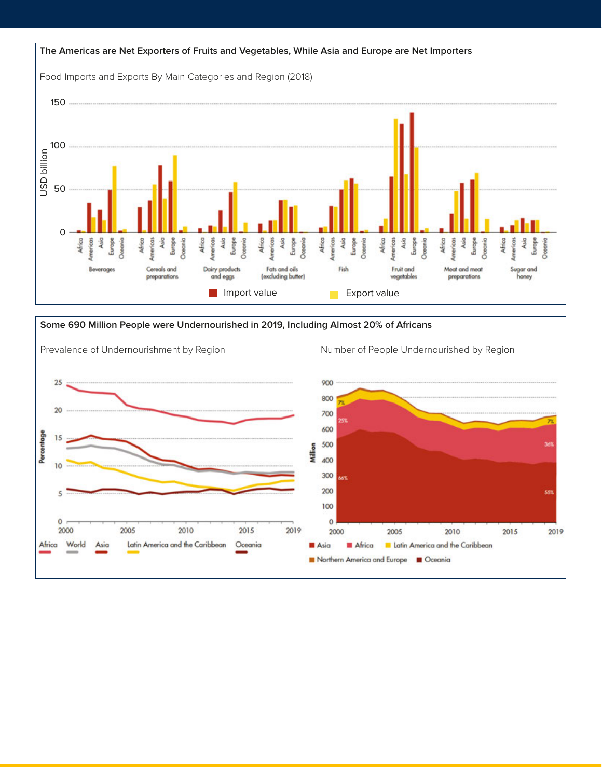

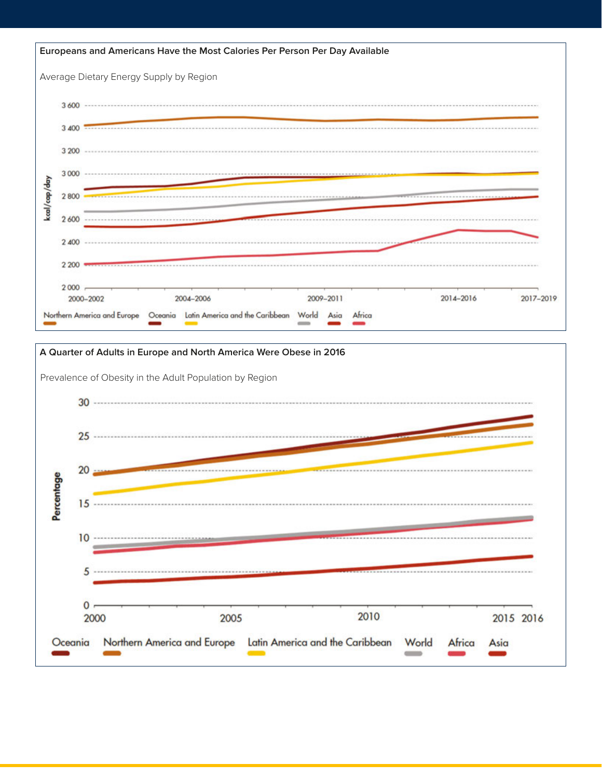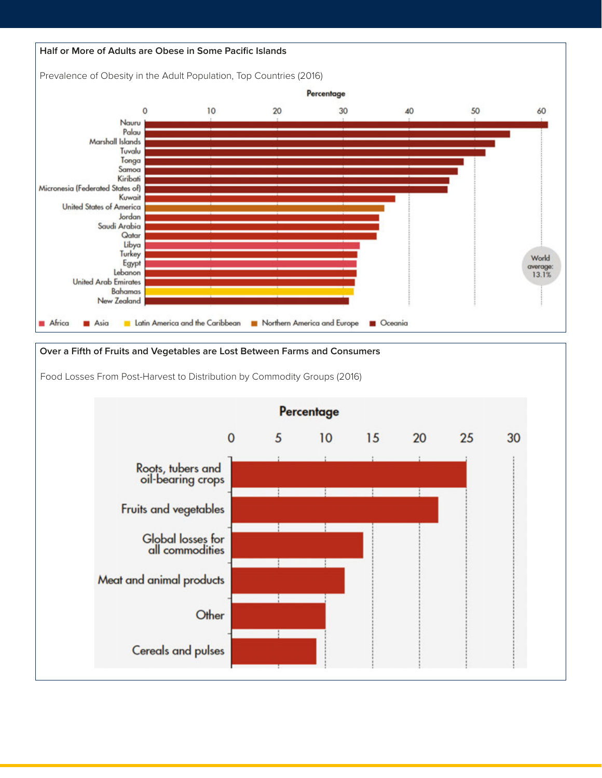